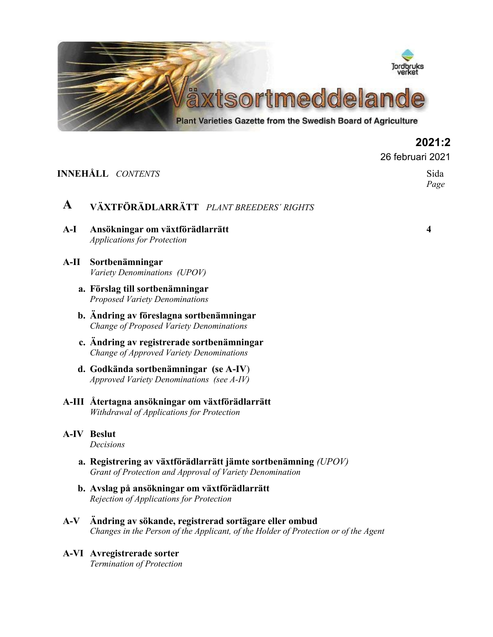

**2021:2**

*Page*

26 februari 2021

### **INNEHÅLL** *CONTENTS* Sida

# **A VÄXTFÖRÄDLARRÄTT** *PLANT BREEDERS´ RIGHTS*

- **A-I Ansökningar om växtförädlarrätt 4** *Applications for Protection*
- **A-II Sortbenämningar** *Variety Denominations (UPOV)*
	- **a. Förslag till sortbenämningar** *Proposed Variety Denominations*
	- **b. Ändring av föreslagna sortbenämningar** *Change of Proposed Variety Denominations*
	- **c. Ändring av registrerade sortbenämningar** *Change of Approved Variety Denominations*
	- **d. Godkända sortbenämningar (se A-IV**) *Approved Variety Denominations (see A-IV)*
- **A-III Återtagna ansökningar om växtförädlarrätt** *Withdrawal of Applications for Protection*

# **A-IV Beslut**

*Decisions*

- **a. Registrering av växtförädlarrätt jämte sortbenämning** *(UPOV) Grant of Protection and Approval of Variety Denomination*
- **b. Avslag på ansökningar om växtförädlarrätt** *Rejection of Applications for Protection*
- **A-V Ändring av sökande, registrerad sortägare eller ombud** *Changes in the Person of the Applicant, of the Holder of Protection or of the Agent*
- **A-VI Avregistrerade sorter** *Termination of Protection*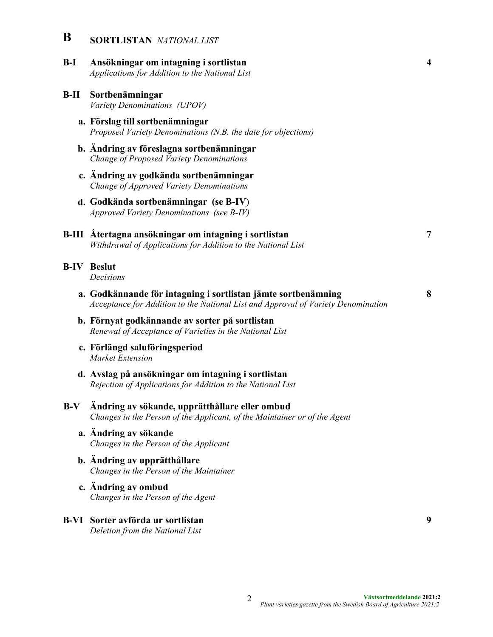- **B SORTLISTAN** *NATIONAL LIST*
- **B-I Ansökningar om intagning i sortlistan 4** *Applications for Addition to the National List*
- **B-II Sortbenämningar** *Variety Denominations (UPOV)*
	- **a. Förslag till sortbenämningar** *Proposed Variety Denominations (N.B. the date for objections)*
	- **b. Ändring av föreslagna sortbenämningar** *Change of Proposed Variety Denominations*
	- **c. Ändring av godkända sortbenämningar** *Change of Approved Variety Denominations*
	- **d. Godkända sortbenämningar (se B-IV**) *Approved Variety Denominations (see B-IV)*

#### **B-III Återtagna ansökningar om intagning i sortlistan 7** *Withdrawal of Applications for Addition to the National List*

- **B-IV Beslut** *Decisions*
	- **a. Godkännande för intagning i sortlistan jämte sortbenämning 8** *Acceptance for Addition to the National List and Approval of Variety Denomination*
		- **b. Förnyat godkännande av sorter på sortlistan** *Renewal of Acceptance of Varieties in the National List*
		- **c. Förlängd saluföringsperiod** *Market Extension*
		- **d. Avslag på ansökningar om intagning i sortlistan** *Rejection of Applications for Addition to the National List*

### **B-V Ändring av sökande, upprätthållare eller ombud** *Changes in the Person of the Applicant, of the Maintainer or of the Agent*

- **a. Ändring av sökande** *Changes in the Person of the Applicant*
- **b. Ändring av upprätthållare** *Changes in the Person of the Maintainer*
- **c. Ändring av ombud** *Changes in the Person of the Agent*
- **B-VI Sorter avförda ur sortlistan 9** *Deletion from the National List*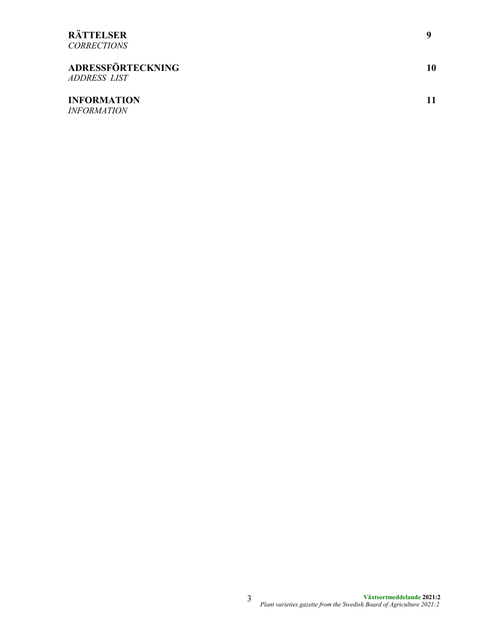# **RÄTTELSER 9**

*CORRECTIONS*

| <b>ADRESSFÖRTECKNING</b><br><i>ADDRESS LIST</i> | 10 |
|-------------------------------------------------|----|
| <b>INFORMATION</b><br><i><b>INFORMATION</b></i> |    |

**Växtsortmeddelande 2021:2** *Plant varieties gazette from the Swedish Board of Agriculture 2021:2* 3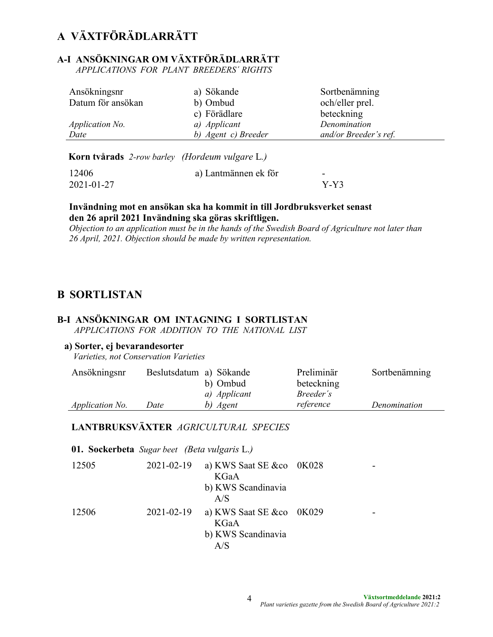# **A VÄXTFÖRÄDLARRÄTT**

# **A-I ANSÖKNINGAR OM VÄXTFÖRÄDLARRÄTT**

 *APPLICATIONS FOR PLANT BREEDERS´ RIGHTS*

| Ansökningsnr           | a) Sökande          | Sortbenämning         |
|------------------------|---------------------|-----------------------|
| Datum för ansökan      | b) Ombud            | och/eller prel.       |
|                        | c) Förädlare        | beteckning            |
| <i>Application No.</i> | a) Applicant        | Denomination          |
| Date                   | b) Agent c) Breeder | and/or Breeder's ref. |

**Korn tvårads** *2-row barley**(Hordeum vulgare* L*.)*

| 12406      | a) Lantmännen ek för | -      |
|------------|----------------------|--------|
| 2021-01-27 |                      | $Y-Y3$ |

### **Invändning mot en ansökan ska ha kommit in till Jordbruksverket senast den 26 april 2021 Invändning ska göras skriftligen.**

*Objection to an application must be in the hands of the Swedish Board of Agriculture not later than 26 April, 2021. Objection should be made by written representation.* 

# **B SORTLISTAN**

# **B-I ANSÖKNINGAR OM INTAGNING I SORTLISTAN**

*APPLICATIONS FOR ADDITION TO THE NATIONAL LIST*

#### **a) Sorter, ej bevarandesorter**

*Varieties, not Conservation Varieties*

| Ansökningsnr           | Beslutsdatum a) Sökande |              | Preliminär       | Sortbenämning |
|------------------------|-------------------------|--------------|------------------|---------------|
|                        |                         | b) Ombud     | beteckning       |               |
|                        |                         | a) Applicant | <i>Breeder's</i> |               |
| <i>Application No.</i> | Date                    | b) Agent     | reference        | Denomination  |

## **LANTBRUKSVÄXTER** *AGRICULTURAL SPECIES*

**01. Sockerbeta** *Sugar beet (Beta vulgaris* L.*)*

| 12505 | 2021-02-19 a) KWS Saat SE &co 0K028 |  |
|-------|-------------------------------------|--|
|       | KGaA                                |  |
|       | b) KWS Scandinavia                  |  |
|       | A/S                                 |  |
| 12506 | 2021-02-19 a) KWS Saat SE &co 0K029 |  |
|       | KGaA                                |  |
|       | b) KWS Scandinavia                  |  |
|       | A/S                                 |  |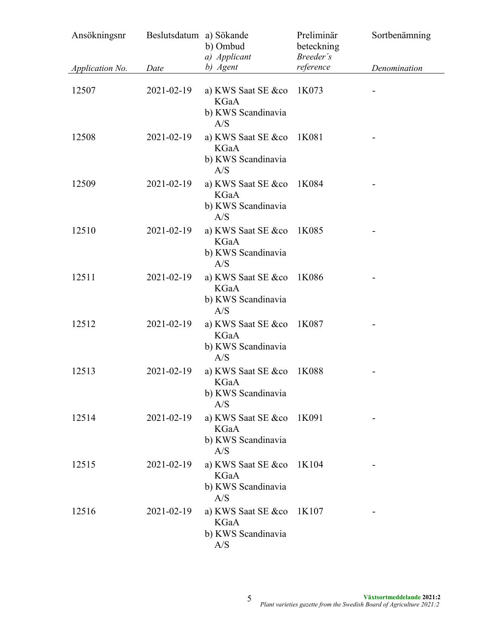| Ansökningsnr    | Beslutsdatum a) Sökande | b) Ombud<br>a) Applicant                                       | Preliminär<br>beteckning<br>Breeder's | Sortbenämning |
|-----------------|-------------------------|----------------------------------------------------------------|---------------------------------------|---------------|
| Application No. | Date                    | b) Agent                                                       | reference                             | Denomination  |
| 12507           | 2021-02-19              | a) KWS Saat SE &co<br><b>KGaA</b><br>b) KWS Scandinavia<br>A/S | 1K073                                 |               |
| 12508           | 2021-02-19              | a) KWS Saat SE &co<br><b>KGaA</b><br>b) KWS Scandinavia<br>A/S | 1K081                                 |               |
| 12509           | 2021-02-19              | a) KWS Saat SE &co<br><b>KGaA</b><br>b) KWS Scandinavia<br>A/S | 1K084                                 |               |
| 12510           | 2021-02-19              | a) KWS Saat SE &co<br><b>KGaA</b><br>b) KWS Scandinavia<br>A/S | 1K085                                 |               |
| 12511           | 2021-02-19              | a) KWS Saat SE &co<br>KGaA<br>b) KWS Scandinavia<br>A/S        | 1K086                                 |               |
| 12512           | 2021-02-19              | a) KWS Saat SE &co<br>KGaA<br>b) KWS Scandinavia<br>A/S        | 1K087                                 |               |
| 12513           | 2021-02-19              | a) KWS Saat SE &co<br>KGaA<br>b) KWS Scandinavia<br>A/S        | 1K088                                 |               |
| 12514           | 2021-02-19              | a) KWS Saat SE &co<br>KGaA<br>b) KWS Scandinavia<br>A/S        | 1K091                                 |               |
| 12515           | 2021-02-19              | a) KWS Saat SE &co<br>KGaA<br>b) KWS Scandinavia<br>A/S        | 1K104                                 |               |
| 12516           | 2021-02-19              | a) KWS Saat SE &co<br>KGaA<br>b) KWS Scandinavia<br>A/S        | 1K107                                 |               |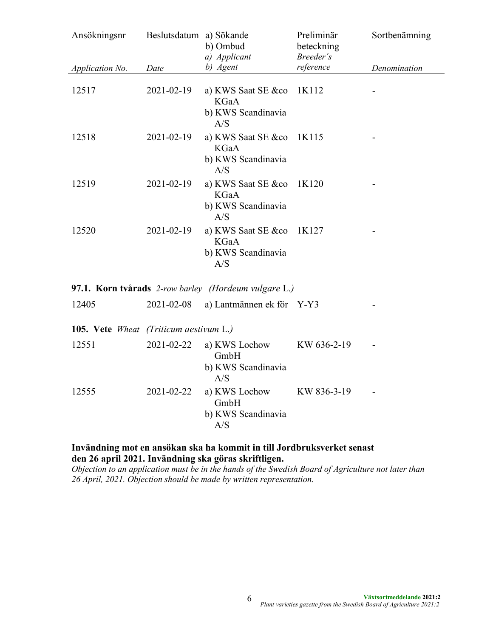| Ansökningsnr                           | Beslutsdatum a) Sökande | b) Ombud<br>a) Applicant                                               | Preliminär<br>beteckning<br>Breeder's | Sortbenämning |
|----------------------------------------|-------------------------|------------------------------------------------------------------------|---------------------------------------|---------------|
| Application No.                        | Date                    | b) Agent                                                               | reference                             | Denomination  |
| 12517                                  | 2021-02-19              | a) KWS Saat SE $&co$ 1K112<br><b>KGaA</b><br>b) KWS Scandinavia<br>A/S |                                       |               |
| 12518                                  | 2021-02-19              | a) KWS Saat SE &co<br><b>KGaA</b><br>b) KWS Scandinavia<br>A/S         | 1K115                                 |               |
| 12519                                  | 2021-02-19              | a) KWS Saat SE &co<br><b>KGaA</b><br>b) KWS Scandinavia<br>A/S         | 1K120                                 |               |
| 12520                                  | 2021-02-19              | a) KWS Saat SE &co<br><b>KGaA</b><br>b) KWS Scandinavia<br>A/S         | 1K127                                 |               |
|                                        |                         | 97.1. Korn tvårads 2-row barley (Hordeum vulgare L.)                   |                                       |               |
| 12405                                  | 2021-02-08              | a) Lantmännen ek för Y-Y3                                              |                                       |               |
| 105. Vete Wheat (Triticum aestivum L.) |                         |                                                                        |                                       |               |
| 12551                                  | 2021-02-22              | a) KWS Lochow<br>GmbH<br>b) KWS Scandinavia<br>A/S                     | KW 636-2-19                           |               |
| 12555                                  | 2021-02-22              | a) KWS Lochow<br>GmbH<br>b) KWS Scandinavia<br>A/S                     | KW 836-3-19                           |               |

**Invändning mot en ansökan ska ha kommit in till Jordbruksverket senast den 26 april 2021. Invändning ska göras skriftligen.**

*Objection to an application must be in the hands of the Swedish Board of Agriculture not later than 26 April, 2021. Objection should be made by written representation.*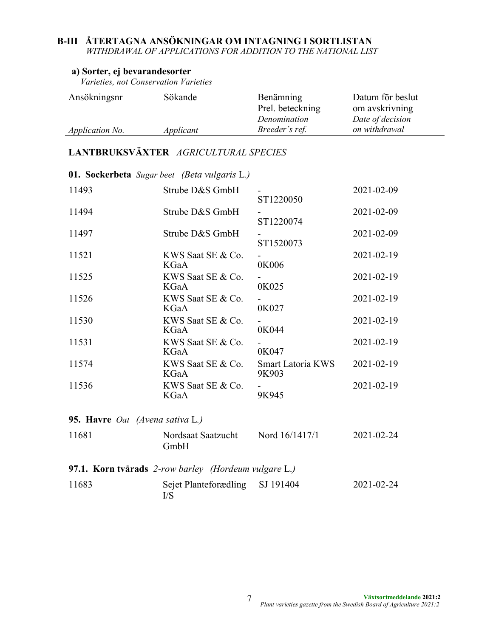# **B-III ÅTERTAGNA ANSÖKNINGAR OM INTAGNING I SORTLISTAN**

*WITHDRAWAL OF APPLICATIONS FOR ADDITION TO THE NATIONAL LIST*

### **a) Sorter, ej bevarandesorter**

*Varieties, not Conservation Varieties*

| Ansökningsnr           | Sökande   | Benämning        | Datum för beslut |
|------------------------|-----------|------------------|------------------|
|                        |           | Prel. beteckning | om avskrivning   |
|                        |           | Denomination     | Date of decision |
| <i>Application No.</i> | Applicant | Breeder's ref.   | on withdrawal    |

# **LANTBRUKSVÄXTER** *AGRICULTURAL SPECIES*

| <b>01. Sockerbeta</b> Sugar beet (Beta vulgaris L.) |                                                      |                                   |                  |
|-----------------------------------------------------|------------------------------------------------------|-----------------------------------|------------------|
| 11493                                               | Strube D&S GmbH                                      | ST1220050                         | 2021-02-09       |
| 11494                                               | Strube D&S GmbH                                      | ST1220074                         | 2021-02-09       |
| 11497                                               | Strube D&S GmbH                                      | ST1520073                         | 2021-02-09       |
| 11521                                               | KWS Saat SE & Co.<br>KGaA                            | 0K006                             | 2021-02-19       |
| 11525                                               | KWS Saat SE & Co.<br>KGaA                            | 0K025                             | 2021-02-19       |
| 11526                                               | KWS Saat SE & Co.<br>KGaA                            | 0K027                             | 2021-02-19       |
| 11530                                               | KWS Saat SE & Co.<br>KGaA                            | 0K044                             | 2021-02-19       |
| 11531                                               | KWS Saat SE & Co.<br>KGaA                            | 0K047                             | 2021-02-19       |
| 11574                                               | KWS Saat SE & Co.<br>KGaA                            | <b>Smart Latoria KWS</b><br>9K903 | 2021-02-19       |
| 11536                                               | KWS Saat SE & Co.<br>KGaA                            | 9K945                             | 2021-02-19       |
| 95. Havre Oat (Avena sativa L.)                     |                                                      |                                   |                  |
| 11681                                               | Nordsaat Saatzucht<br>GmbH                           | Nord 16/1417/1                    | $2021 - 02 - 24$ |
|                                                     | 97.1. Korn tvårads 2-row barley (Hordeum vulgare L.) |                                   |                  |
| 11683                                               | Sejet Planteforædling<br>I/S                         | SJ 191404                         | 2021-02-24       |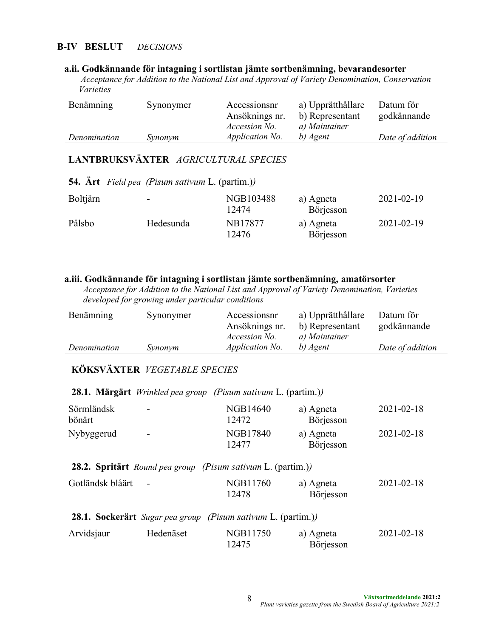### **B-IV BESLUT** *DECISIONS*

#### **a.ii. Godkännande för intagning i sortlistan jämte sortbenämning, bevarandesorter**

*Acceptance for Addition to the National List and Approval of Variety Denomination, Conservation Varieties*

| Benämning    | Synonymer | Accessionsnr           | a) Upprätthållare | Datum för        |
|--------------|-----------|------------------------|-------------------|------------------|
|              |           | Ansöknings nr.         | b) Representant   | godkännande      |
|              |           | <i>Accession No.</i>   | a) Maintainer     |                  |
| Denomination | Synonym   | <i>Application No.</i> | b) Agent          | Date of addition |

# **LANTBRUKSVÄXTER** *AGRICULTURAL SPECIES*

|                 | <b>54.</b> Art Field pea (Pisum sativum L. (partim.)) |                    |                        |            |
|-----------------|-------------------------------------------------------|--------------------|------------------------|------------|
| <b>Boltjärn</b> | -                                                     | NGB103488<br>12474 | a) Agneta<br>Börjesson | 2021-02-19 |
| Pålsbo          | Hedesunda                                             | NB17877<br>12476   | a) Agneta<br>Börjesson | 2021-02-19 |

#### **a.iii. Godkännande för intagning i sortlistan jämte sortbenämning, amatörsorter**

 *Acceptance for Addition to the National List and Approval of Variety Denomination, Varieties developed for growing under particular conditions*

| Benämning    | Synonymer | Accessionsnr           | a) Upprätthållare | Datum för        |
|--------------|-----------|------------------------|-------------------|------------------|
|              |           | Ansöknings nr.         | b) Representant   | godkännande      |
|              |           | <i>Accession No.</i>   | a) Maintainer     |                  |
| Denomination | Synonym   | <i>Application No.</i> | b) Agent          | Date of addition |

# **KÖKSVÄXTER** *VEGETABLE SPECIES*

| Sörmländsk | $\overline{\phantom{0}}$ | NGB14640          | a) Agneta | $2021 - 02 - 18$ |
|------------|--------------------------|-------------------|-----------|------------------|
| bönärt     |                          | 12472             | Börjesson |                  |
| Nybyggerud | $\overline{\phantom{0}}$ | NGB17840<br>12477 | a) Agneta | $2021 - 02 - 18$ |
|            |                          |                   | Börjesson |                  |

### **28.1. Märgärt** *Wrinkled pea group (Pisum sativum* L. (partim.)*)*

### **28.2. Spritärt** *Round pea group (Pisum sativum* L. (partim.)*)*

| Gotländsk blåärt - | NGB11760 | a) Agneta | $2021 - 02 - 18$ |
|--------------------|----------|-----------|------------------|
|                    | 12478    | Börjesson |                  |

|                                   |                                                     | 28.1. Sockerärt Sugar pea group (Pisum sativum L. (partim.)) |                                |
|-----------------------------------|-----------------------------------------------------|--------------------------------------------------------------|--------------------------------|
| $\lambda$ , $\lambda$ , $\lambda$ | $\mathbf{H} = \mathbf{I} - \mathbf{I} - \mathbf{I}$ | $\mathbf{M}\cap\mathbf{D}$ 11750                             | $\mathcal{D} \cap \mathcal{D}$ |

| Arvidsjaur | Hedenäset | NGB11750 | a) Agneta | 2021-02-18 |
|------------|-----------|----------|-----------|------------|
|            |           | 12475    | Börjesson |            |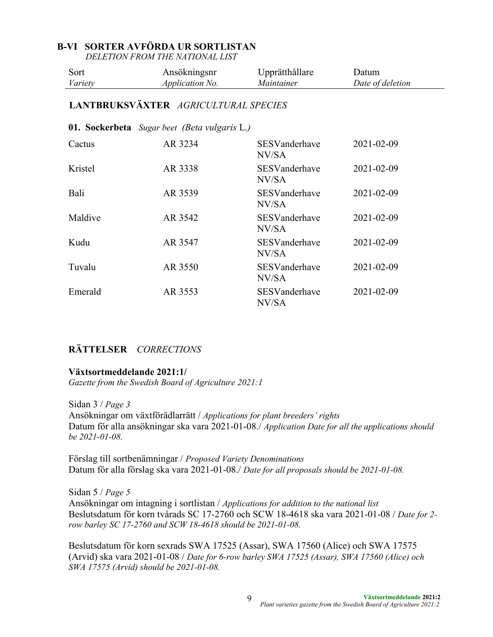### **B-VI SORTER AVFÖRDA UR SORTLISTAN**

*DELETION FROM THE NATIONAL LIST*

| Sort    | Ansökningsnr           | Upprätthållare    | Jatum            |
|---------|------------------------|-------------------|------------------|
| Variety | <i>Application No.</i> | <i>Maintainer</i> | Date of deletion |
|         |                        |                   |                  |

# **LANTBRUKSVÄXTER** *AGRICULTURAL SPECIES*

#### **01. Sockerbeta** *Sugar beet (Beta vulgaris* L.*)*

| Cactus  | AR 3234 | SESVanderhave<br>NV/SA        | 2021-02-09 |
|---------|---------|-------------------------------|------------|
| Kristel | AR 3338 | <b>SESVanderhave</b><br>NV/SA | 2021-02-09 |
| Bali    | AR 3539 | SESVanderhave<br>NV/SA        | 2021-02-09 |
| Maldive | AR 3542 | <b>SESVanderhave</b><br>NV/SA | 2021-02-09 |
| Kudu    | AR 3547 | SESVanderhave<br>NV/SA        | 2021-02-09 |
| Tuvalu  | AR 3550 | SESVanderhave<br>NV/SA        | 2021-02-09 |
| Emerald | AR 3553 | SESVanderhave<br>NV/SA        | 2021-02-09 |

### **RÄTTELSER** *CORRECTIONS*

#### **Växtsortmeddelande 2021:1/**

*Gazette from the Swedish Board of Agriculture 2021:1*

Sidan 3 / *Page 3* Ansökningar om växtförädlarrätt / *Applications for plant breeders' rights* Datum för alla ansökningar ska vara 2021-01-08./ *Application Date for all the applications should be 2021-01-08.*

Förslag till sortbenämningar / *Proposed Variety Denominations* Datum för alla förslag ska vara 2021-01-08./ *Date for all proposals should be 2021-01-08.*

Sidan 5 / *Page 5* Ansökningar om intagning i sortlistan / *Applications for addition to the national list*  Beslutsdatum för korn tvårads SC 17-2760 och SCW 18-4618 ska vara 2021-01-08 / *Date for 2 row barley SC 17-2760 and SCW 18-4618 should be 2021-01-08.*

Beslutsdatum för korn sexrads SWA 17525 (Assar), SWA 17560 (Alice) och SWA 17575 (Arvid) ska vara 2021-01-08 / *Date for 6-row barley SWA 17525 (Assar), SWA 17560 (Alice) och SWA 17575 (Arvid) should be 2021-01-08.*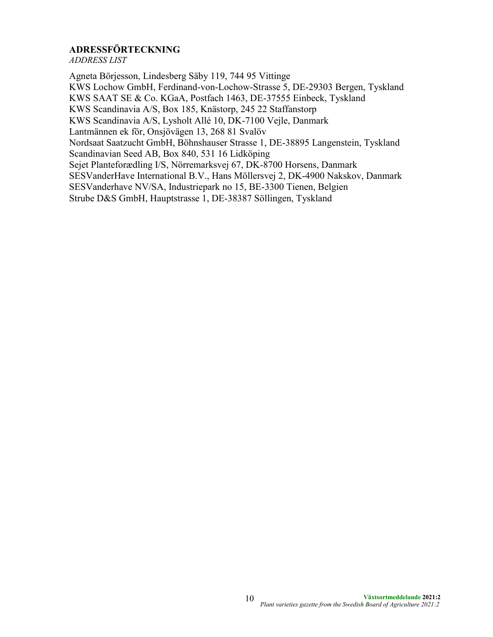# **ADRESSFÖRTECKNING**

*ADDRESS LIST*

Agneta Börjesson, Lindesberg Säby 119, 744 95 Vittinge KWS Lochow GmbH, Ferdinand-von-Lochow-Strasse 5, DE-29303 Bergen, Tyskland KWS SAAT SE & Co. KGaA, Postfach 1463, DE-37555 Einbeck, Tyskland KWS Scandinavia A/S, Box 185, Knästorp, 245 22 Staffanstorp KWS Scandinavia A/S, Lysholt Allé 10, DK-7100 Vejle, Danmark Lantmännen ek för, Onsjövägen 13, 268 81 Svalöv Nordsaat Saatzucht GmbH, Böhnshauser Strasse 1, DE-38895 Langenstein, Tyskland Scandinavian Seed AB, Box 840, 531 16 Lidköping Sejet Planteforædling I/S, Nörremarksvej 67, DK-8700 Horsens, Danmark SESVanderHave International B.V., Hans Möllersvej 2, DK-4900 Nakskov, Danmark SESVanderhave NV/SA, Industriepark no 15, BE-3300 Tienen, Belgien Strube D&S GmbH, Hauptstrasse 1, DE-38387 Söllingen, Tyskland